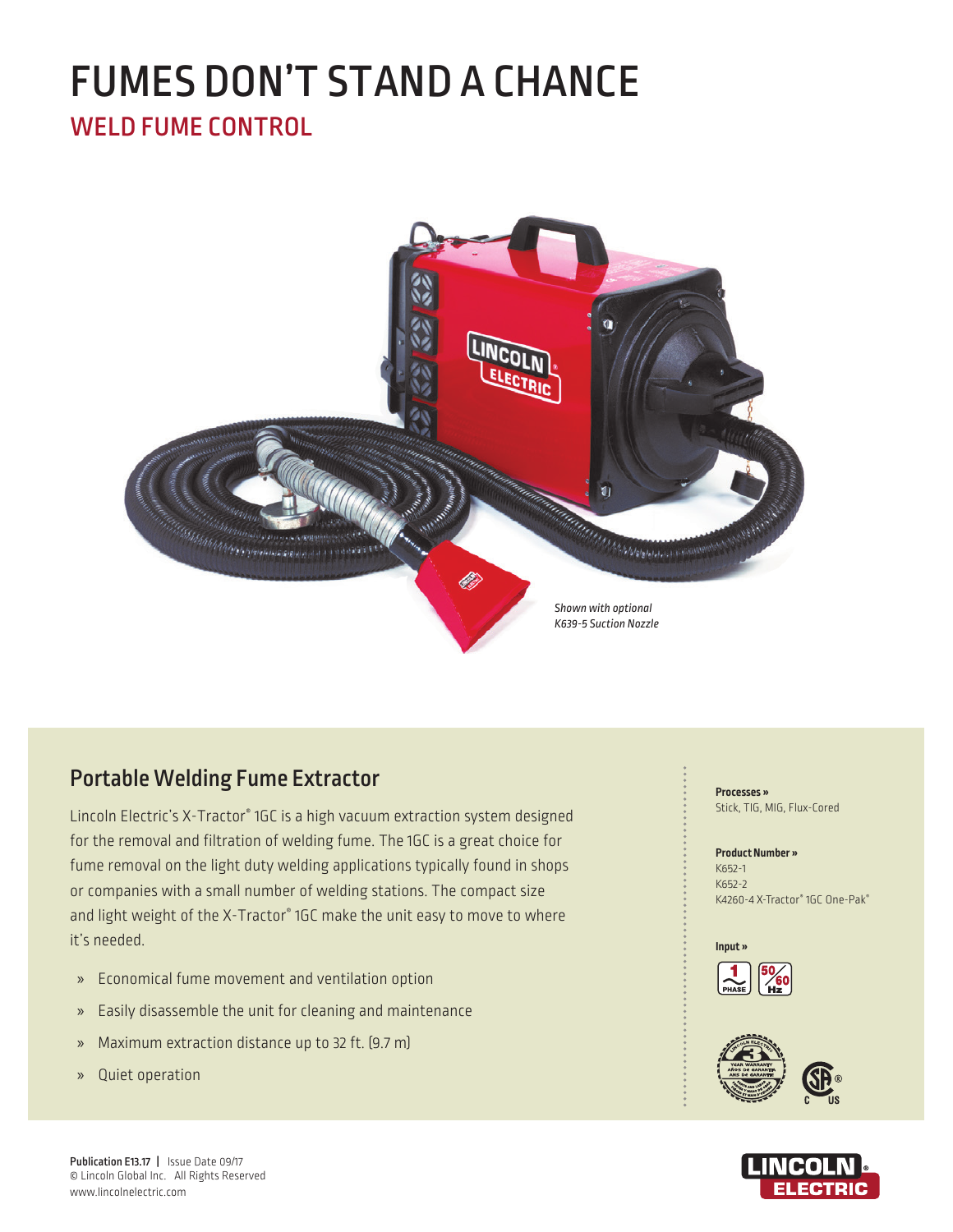# WELD FUME CONTROL FUMES DON'T STAND A CHANCE



# Portable Welding Fume Extractor

Lincoln Electric's X-Tractor® 1GC is a high vacuum extraction system designed for the removal and filtration of welding fume. The 1GC is a great choice for fume removal on the light duty welding applications typically found in shops or companies with a small number of welding stations. The compact size and light weight of the X-Tractor® 1GC make the unit easy to move to where it's needed.

- » Economical fume movement and ventilation option
- » Easily disassemble the unit for cleaning and maintenance
- » Maximum extraction distance up to 32 ft. (9.7 m)
- » Quiet operation

**Processes »**  Stick, TIG, MIG, Flux-Cored

#### **Product Number »**

K652-1 K652-2 K4260-4 X-Tractor® 1GC One-Pak®







Publication E13.17 | Issue Date 09/17 © Lincoln Global Inc. All Rights Reserved www.lincolnelectric.com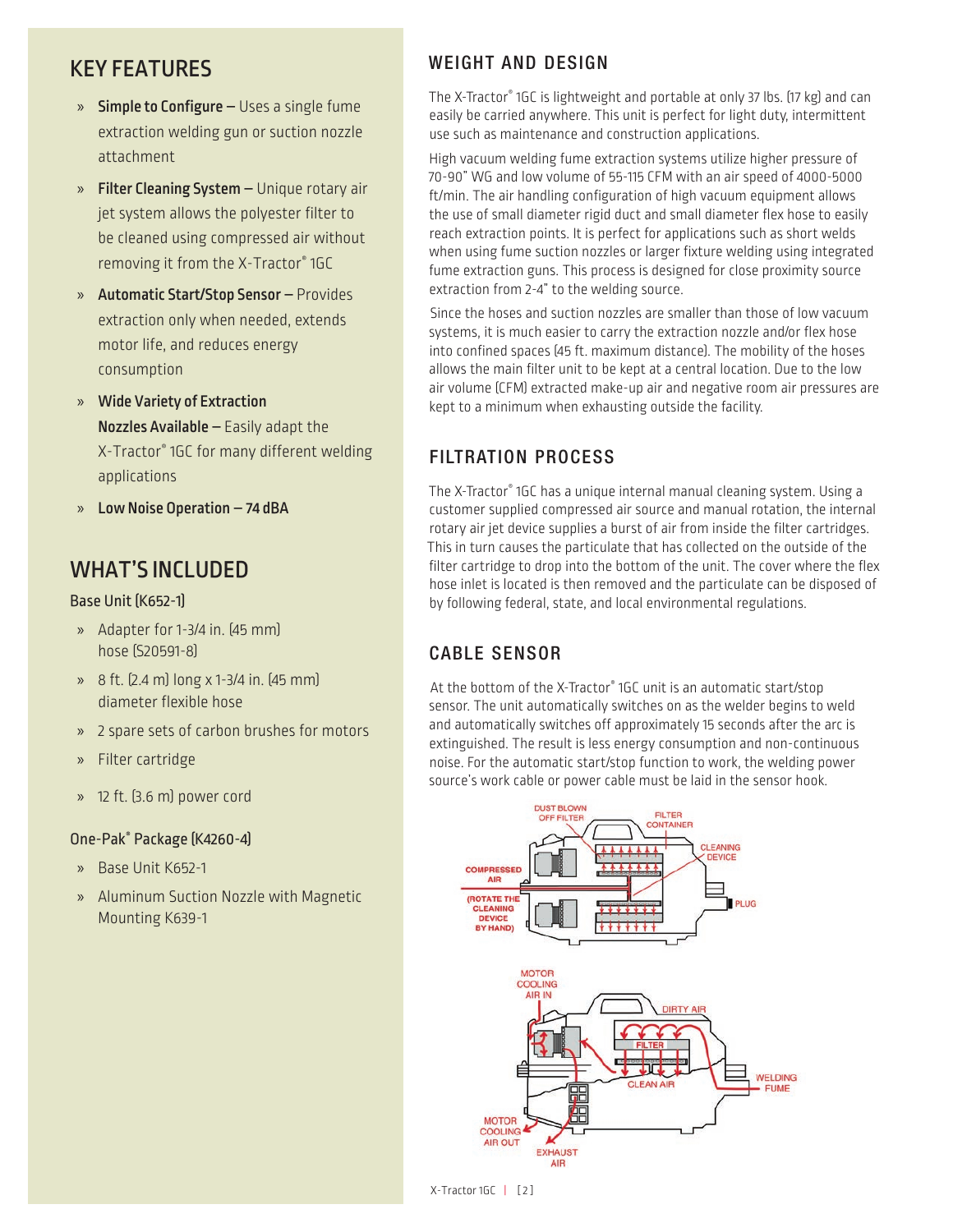- » Simple to Configure Uses a single fume extraction welding gun or suction nozzle attachment
- » Filter Cleaning System Unique rotary air jet system allows the polyester filter to be cleaned using compressed air without removing it from the X-Tractor® 1GC
- » Automatic Start/Stop Sensor Provides extraction only when needed, extends motor life, and reduces energy consumption
- » Wide Variety of Extraction Nozzles Available – Easily adapt the X-Tractor® 1GC for many different welding applications
- » Low Noise Operation 74 dBA

# WHAT'S INCLUDED

Base Unit (K652-1)

- » Adapter for 1-3/4 in. (45 mm) hose (S20591-8)
- » 8 ft. (2.4 m) long x 1-3/4 in. (45 mm) diameter flexible hose
- » 2 spare sets of carbon brushes for motors
- » Filter cartridge
- » 12 ft. (3.6 m) power cord

## One-Pak® Package (K4260-4)

- » Base Unit K652-1
- » Aluminum Suction Nozzle with Magnetic Mounting K639-1

# KEY FEATURES WEIGHT AND DESIGN

The X-Tractor® 1GC is lightweight and portable at only 37 lbs. (17 kg) and can easily be carried anywhere. This unit is perfect for light duty, intermittent use such as maintenance and construction applications.

High vacuum welding fume extraction systems utilize higher pressure of 70-90" WG and low volume of 55-115 CFM with an air speed of 4000-5000 ft/min. The air handling configuration of high vacuum equipment allows the use of small diameter rigid duct and small diameter flex hose to easily reach extraction points. It is perfect for applications such as short welds when using fume suction nozzles or larger fixture welding using integrated fume extraction guns. This process is designed for close proximity source extraction from 2-4" to the welding source.

Since the hoses and suction nozzles are smaller than those of low vacuum systems, it is much easier to carry the extraction nozzle and/or flex hose into confined spaces (45 ft. maximum distance). The mobility of the hoses allows the main filter unit to be kept at a central location. Due to the low air volume (CFM) extracted make-up air and negative room air pressures are kept to a minimum when exhausting outside the facility.

# FILTRATION PROCESS

The X-Tractor® 1GC has a unique internal manual cleaning system. Using a customer supplied compressed air source and manual rotation, the internal rotary air jet device supplies a burst of air from inside the filter cartridges. This in turn causes the particulate that has collected on the outside of the filter cartridge to drop into the bottom of the unit. The cover where the flex hose inlet is located is then removed and the particulate can be disposed of by following federal, state, and local environmental regulations.

# CABLE SENSOR

At the bottom of the X-Tractor® 1GC unit is an automatic start/stop sensor. The unit automatically switches on as the welder begins to weld and automatically switches off approximately 15 seconds after the arc is extinguished. The result is less energy consumption and non-continuous noise. For the automatic start/stop function to work, the welding power source's work cable or power cable must be laid in the sensor hook.

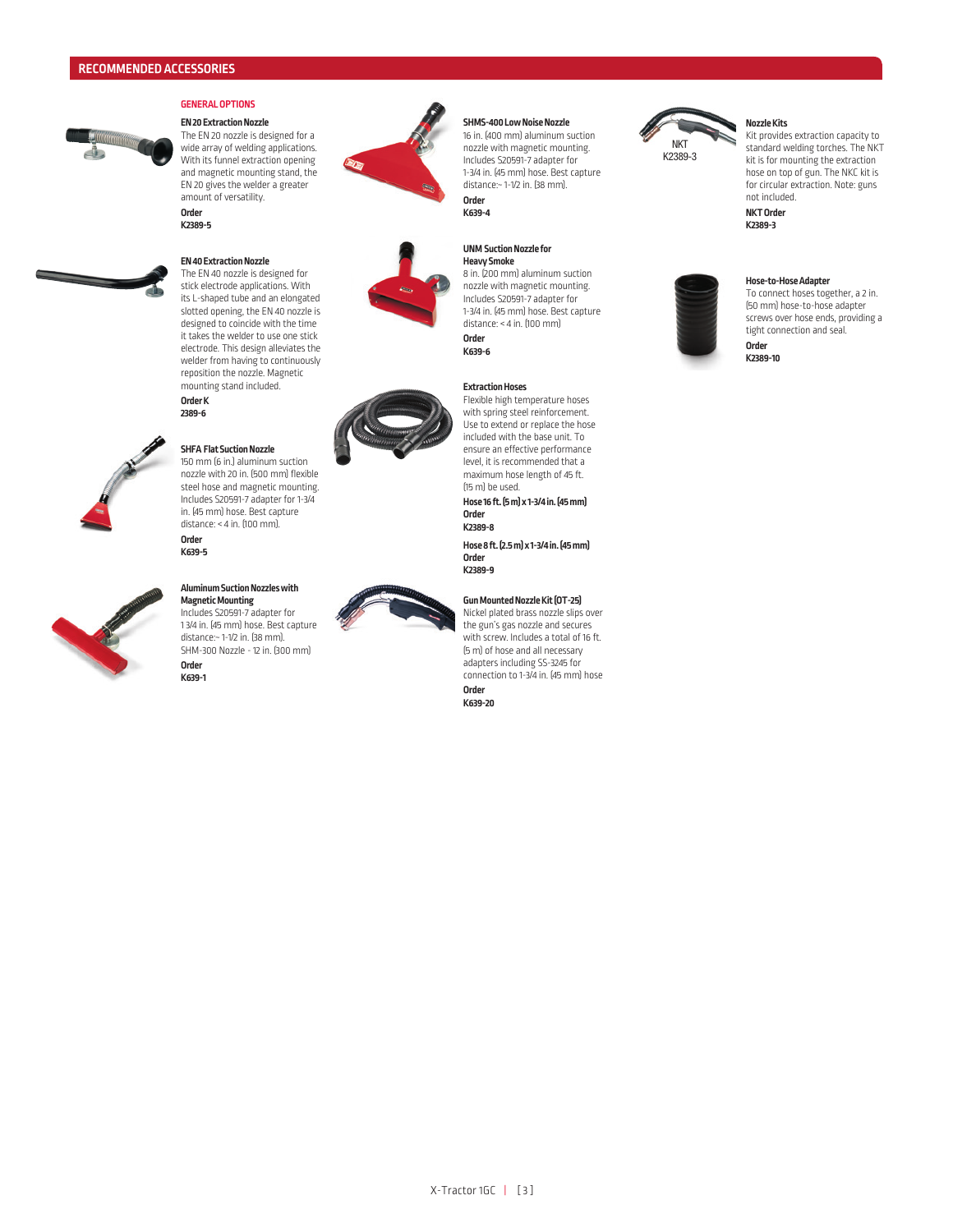

### **GENERAL OPTIONS**

**EN 20 Extraction Nozzle** The EN 20 nozzle is designed for a wide array of welding applications. With its funnel extraction opening and magnetic mounting stand, the EN 20 gives the welder a greater amount of versatility. **Order** 

**K2389-5**

#### **EN 40 Extraction Nozzle**

The EN 40 nozzle is designed for stick electrode applications. With its L-shaped tube and an elongated slotted opening, the EN 40 nozzle is designed to coincide with the time it takes the welder to use one stick electrode. This design alleviates the welder from having to continuously reposition the nozzle. Magnetic mounting stand included. **Order K 2389-6**



#### **SHFA Flat Suction Nozzle** 150 mm (6 in.) aluminum suction

nozzle with 20 in. (500 mm) flexible steel hose and magnetic mounting. Includes S20591-7 adapter for 1-3/4 in. (45 mm) hose. Best capture  $distance: < 4$  in.  $f100$  mm). **Order K639-5**



#### **Aluminum Suction Nozzles with Magnetic Mounting**

Includes S20591-7 adapter for 1 3/4 in. (45 mm) hose. Best capture distance:~ 1-1/2 in. (38 mm). SHM-300 Nozzle - 12 in. (300 mm) **Order K639-1**









### **SHMS-400 Low Noise Nozzle**

16 in. (400 mm) aluminum suction nozzle with magnetic mounting. Includes S20591-7 adapter for 1-3/4 in. (45 mm) hose. Best capture distance:~ 1-1/2 in. (38 mm). **Order K639-4**

#### **UNM Suction Nozzle for Heavy Smoke**

8 in. (200 mm) aluminum suction nozzle with magnetic mounting. Includes S20591-7 adapter for 1-3/4 in. (45 mm) hose. Best capture distance: < 4 in. (100 mm) **Order K639-6** 

### **Extraction Hoses**

Flexible high temperature hoses with spring steel reinforcement. Use to extend or replace the hose included with the base unit. To ensure an effective performance level, it is recommended that a maximum hose length of 45 ft. (15 m) be used.

**Hose 16 ft. (5 m) x 1-3/4 in. (45 mm) Order** 

**K2389-8** 

**Hose 8 ft. (2.5 m) x 1-3/4 in. (45 mm) Order K2389-9** 

#### **Gun Mounted Nozzle Kit (OT-25)**

Nickel plated brass nozzle slips over the gun's gas nozzle and secures with screw. Includes a total of 16 ft. (5 m) of hose and all necessary adapters including SS-3245 for connection to 1-3/4 in. (45 mm) hose **Order K639-20**



### **Nozzle Kits**

Kit provides extraction capacity to standard welding torches. The NKT kit is for mounting the extraction hose on top of gun. The NKC kit is for circular extraction. Note: guns not included.

**NKT Order K2389-3**



To connect hoses together, a 2 in. (50 mm) hose-to-hose adapter screws over hose ends, providing a tight connection and seal.

**Order K2389-10**